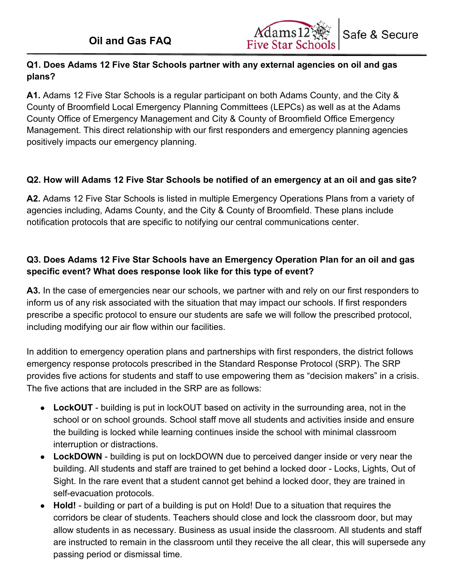

# **Q1. Does Adams 12 Five Star Schools partner with any external agencies on oil and gas plans?**

**A1.** Adams 12 Five Star Schools is a regular participant on both Adams County, and the City & County of Broomfield Local Emergency Planning Committees (LEPCs) as well as at the Adams County Office of Emergency Management and City & County of Broomfield Office Emergency Management. This direct relationship with our first responders and emergency planning agencies positively impacts our emergency planning.

# **Q2. How will Adams 12 Five Star Schools be notified of an emergency at an oil and gas site?**

**A2.** Adams 12 Five Star Schools is listed in multiple Emergency Operations Plans from a variety of agencies including, Adams County, and the City & County of Broomfield. These plans include notification protocols that are specific to notifying our central communications center.

## **Q3. Does Adams 12 Five Star Schools have an Emergency Operation Plan for an oil and gas specific event? What does response look like for this type of event?**

**A3.** In the case of emergencies near our schools, we partner with and rely on our first responders to inform us of any risk associated with the situation that may impact our schools. If first responders prescribe a specific protocol to ensure our students are safe we will follow the prescribed protocol, including modifying our air flow within our facilities.

In addition to emergency operation plans and partnerships with first responders, the district follows emergency response protocols prescribed in the Standard Response Protocol (SRP). The SRP provides five actions for students and staff to use empowering them as "decision makers" in a crisis. The five actions that are included in the SRP are as follows:

- **● LockOUT**  building is put in lockOUT based on activity in the surrounding area, not in the school or on school grounds. School staff move all students and activities inside and ensure the building is locked while learning continues inside the school with minimal classroom interruption or distractions.
- **● LockDOWN**  building is put on lockDOWN due to perceived danger inside or very near the building. All students and staff are trained to get behind a locked door - Locks, Lights, Out of Sight. In the rare event that a student cannot get behind a locked door, they are trained in self-evacuation protocols.
- **● Hold!**  building or part of a building is put on Hold! Due to a situation that requires the corridors be clear of students. Teachers should close and lock the classroom door, but may allow students in as necessary. Business as usual inside the classroom. All students and staff are instructed to remain in the classroom until they receive the all clear, this will supersede any passing period or dismissal time.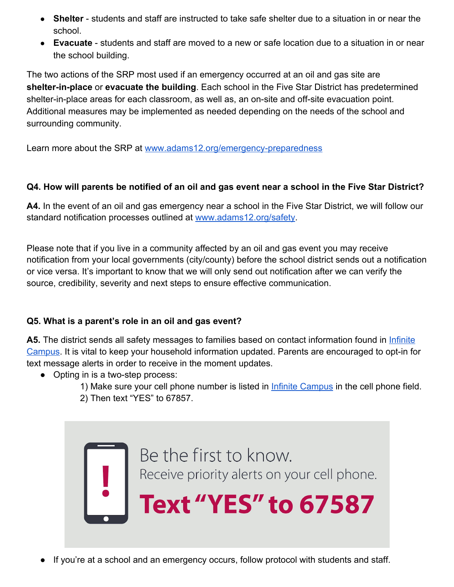- **Shelter**  students and staff are instructed to take safe shelter due to a situation in or near the school.
- **Evacuate**  students and staff are moved to a new or safe location due to a situation in or near the school building.

The two actions of the SRP most used if an emergency occurred at an oil and gas site are **shelter-in-place** or **evacuate the building**. Each school in the Five Star District has predetermined shelter-in-place areas for each classroom, as well as, an on-site and off-site evacuation point. Additional measures may be implemented as needed depending on the needs of the school and surrounding community.

Learn more about the SRP at [www.adams12.org/emergency-preparedness](http://www.adams12.org/emergency-preparedness)

### **Q4. How will parents be notified of an oil and gas event near a school in the Five Star District?**

**A4.** In the event of an oil and gas emergency near a school in the Five Star District, we will follow our standard notification processes outlined at [www.adams12.org/safety](http://www.adams12.org/safety).

Please note that if you live in a community affected by an oil and gas event you may receive notification from your local governments (city/county) before the school district sends out a notification or vice versa. It's important to know that we will only send out notification after we can verify the source, credibility, severity and next steps to ensure effective communication.

# **Q5. What is a parent's role in an oil and gas event?**

A5. The district sends all safety messages to families based on contact information found in *[Infinite](https://ic.adams12.org/campus/portal/adams12.jsp)* [Campus.](https://ic.adams12.org/campus/portal/adams12.jsp) It is vital to keep your household information updated. Parents are encouraged to opt-in for text message alerts in order to receive in the moment updates.

- Opting in is a two-step process:
	- 1) Make sure your cell phone number is listed in *[Infinite Campus](https://ic.adams12.org/campus/portal/adams12.jsp)* in the cell phone field. 2) Then text "YES" to 67857.



If you're at a school and an emergency occurs, follow protocol with students and staff.